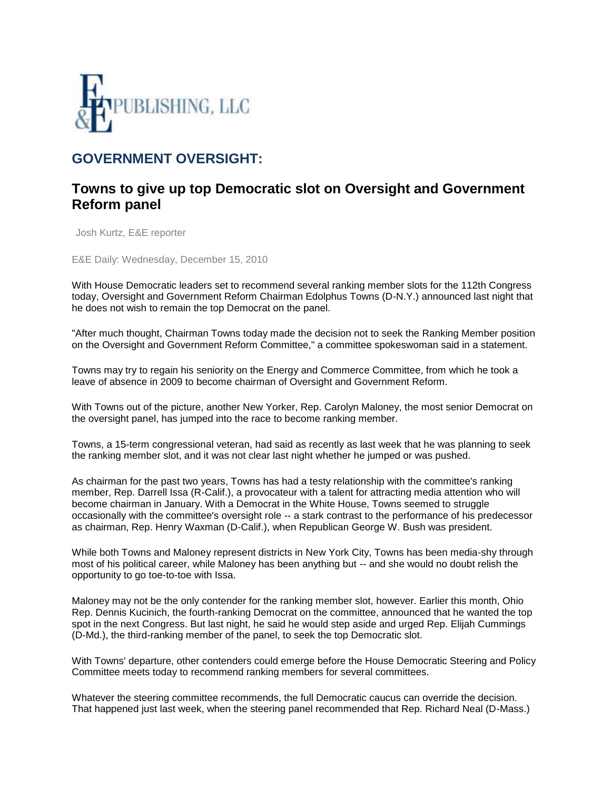

## **GOVERNMENT OVERSIGHT:**

## **Towns to give up top Democratic slot on Oversight and Government Reform panel**

Josh Kurtz, E&E reporter

E&E Daily: Wednesday, December 15, 2010

With House Democratic leaders set to recommend several ranking member slots for the 112th Congress today, Oversight and Government Reform Chairman Edolphus Towns (D-N.Y.) announced last night that he does not wish to remain the top Democrat on the panel.

"After much thought, Chairman Towns today made the decision not to seek the Ranking Member position on the Oversight and Government Reform Committee," a committee spokeswoman said in a statement.

Towns may try to regain his seniority on the Energy and Commerce Committee, from which he took a leave of absence in 2009 to become chairman of Oversight and Government Reform.

With Towns out of the picture, another New Yorker, Rep. Carolyn Maloney, the most senior Democrat on the oversight panel, has jumped into the race to become ranking member.

Towns, a 15-term congressional veteran, had said as recently as last week that he was planning to seek the ranking member slot, and it was not clear last night whether he jumped or was pushed.

As chairman for the past two years, Towns has had a testy relationship with the committee's ranking member, Rep. Darrell Issa (R-Calif.), a provocateur with a talent for attracting media attention who will become chairman in January. With a Democrat in the White House, Towns seemed to struggle occasionally with the committee's oversight role -- a stark contrast to the performance of his predecessor as chairman, Rep. Henry Waxman (D-Calif.), when Republican George W. Bush was president.

While both Towns and Maloney represent districts in New York City, Towns has been media-shy through most of his political career, while Maloney has been anything but -- and she would no doubt relish the opportunity to go toe-to-toe with Issa.

Maloney may not be the only contender for the ranking member slot, however. Earlier this month, Ohio Rep. Dennis Kucinich, the fourth-ranking Democrat on the committee, announced that he wanted the top spot in the next Congress. But last night, he said he would step aside and urged Rep. Elijah Cummings (D-Md.), the third-ranking member of the panel, to seek the top Democratic slot.

With Towns' departure, other contenders could emerge before the House Democratic Steering and Policy Committee meets today to recommend ranking members for several committees.

Whatever the steering committee recommends, the full Democratic caucus can override the decision. That happened just last week, when the steering panel recommended that Rep. Richard Neal (D-Mass.)